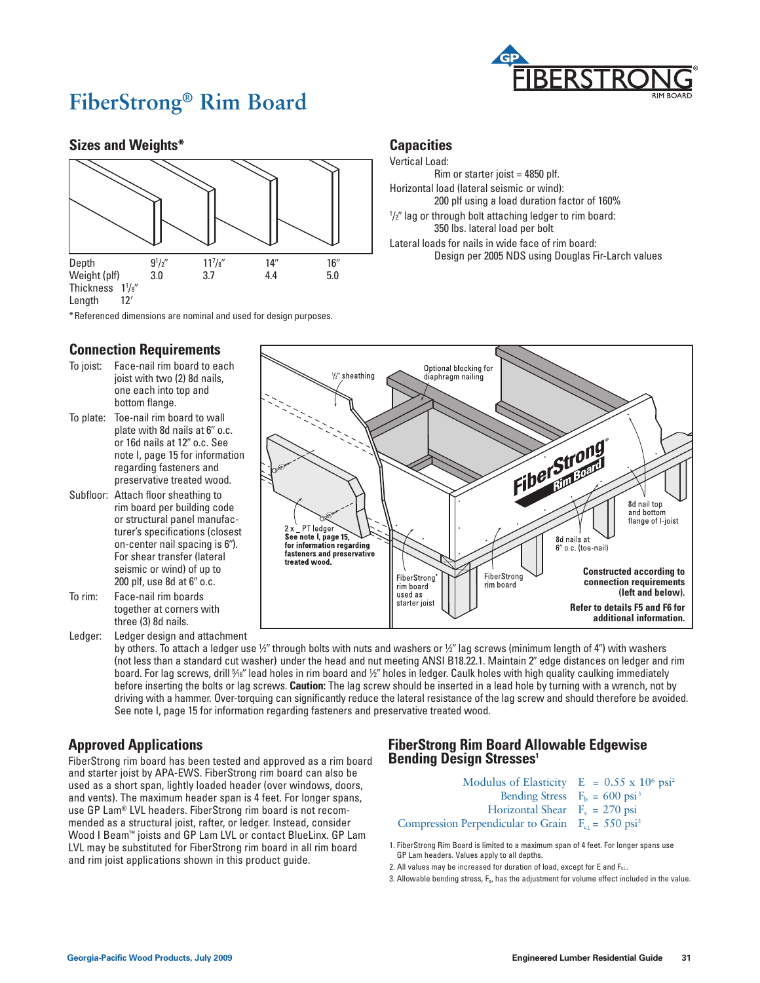

## **FiberStrong® Rim Board**

## **Sizes and Weights\***



\*Referenced dimensions are nominal and used for design purposes.

### **Connection Requirements**

- To joist: Face-nail rim board to each joist with two (2) 8d nails, one each into top and bottom flange.
- To plate: Toe-nail rim board to wall plate with 8d nails at 6**9** o.c. or 16d nails at 12**9** o.c. See note I, page 15 for information regarding fasteners and preservative treated wood.
- Subfloor: Attach floor sheathing to rim board per building code or structural panel manufacturer's specifications (closest on-center nail spacing is 6**9**). For shear transfer (lateral seismic or wind) of up to 200 plf, use 8d at 6**9** o.c. To rim: Face-nail rim boards
- together at corners with three (3) 8d nails.
- Ledger: Ledger design and attachment

Optional blocking for 1/2" sheathing diaphragm nailing Fiber Strong 8d nail top and bottom flange of *I*-joist  $2x$  PT ledger See note I, page 15, 8d nails at  $\sim$  6" o.c. (toe-nail) for information regarding<br>fasteners and preservative treated wood. **Constructed according to**  FiberStrong FiberStrong **connection requirements**  rim board rim hoard **(left and below).** used as starter joist **Refer to details F5 and F6 for additional information.**

**Capacities** Vertical Load:

Rim or starter joist = 4850 plf. Horizontal load (lateral seismic or wind):

1 /2**9** lag or through bolt attaching ledger to rim board: 350 lbs. lateral load per bolt Lateral loads for nails in wide face of rim board:

200 plf using a load duration factor of 160%

Design per 2005 NDS using Douglas Fir-Larch values

by others. To attach a ledger use 1⁄2" through bolts with nuts and washers or 1⁄2" lag screws (minimum length of 4") with washers (not less than a standard cut washer) under the head and nut meeting ANSI B18.22.1. Maintain 2**9** edge distances on ledger and rim board. For lag screws, drill 1⁄16" lead holes in rim board and ½" holes in ledger. Caulk holes with high quality caulking immediately before inserting the bolts or lag screws. **Caution:** The lag screw should be inserted in a lead hole by turning with a wrench, not by driving with a hammer. Over-torquing can significantly reduce the lateral resistance of the lag screw and should therefore be avoided. See note I, page 15 for information regarding fasteners and preservative treated wood.

## **Approved Applications**

FiberStrong rim board has been tested and approved as a rim board and starter joist by APA-EWS. FiberStrong rim board can also be used as a short span, lightly loaded header (over windows, doors, and vents). The maximum header span is 4 feet. For longer spans, use GP Lam® LVL headers. FiberStrong rim board is not recommended as a structural joist, rafter, or ledger. Instead, consider Wood I Beam™ joists and GP Lam LVL or contact BlueLinx. GP Lam LVL may be substituted for FiberStrong rim board in all rim board and rim joist applications shown in this product guide.

## **FiberStrong Rim Board Allowable Edgewise Bending Design Stresses<sup>1</sup>**

| Modulus of Elasticity $E = 0.55 \times 10^6 \text{psi}^2$       |  |
|-----------------------------------------------------------------|--|
| Bending Stress $F_h = 600 \text{ psi}^3$                        |  |
| Horizontal Shear $F_v = 270$ psi                                |  |
| Compression Perpendicular to Grain $F_{c1} = 550 \text{ psi}^2$ |  |

1. FiberStrong Rim Board is limited to a maximum span of 4 feet. For longer spans use GP Lam headers. Values apply to all depths.

- 2. All values may be increased for duration of load, except for E and F<sub>c⊥</sub>.
- 3. Allowable bending stress,  $F_{\text{b}}$ , has the adjustment for volume effect included in the value.